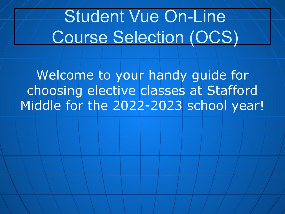# Student Vue On-Line Course Selection (OCS)

Welcome to your handy guide for choosing elective classes at Stafford Middle for the 2022-2023 school year!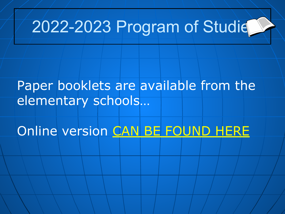# 2022-2023 Program of Studie

#### Paper booklets are available from the elementary schools...

Online version [CAN BE FOUND HERE](https://www.staffordschools.net/Page/33078)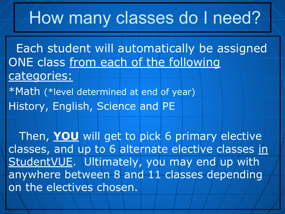# How many classes do I need?

 Each student will automatically be assigned ONE class from each of the following categories:

\*Math (\*level determined at end of year) History, English, Science and PE

 $\mathcal{N}$ 

 Then, **YOU** will get to pick 6 primary elective classes, and up to 6 alternate elective classes in StudentVUE. Ultimately, you may end up with anywhere between 8 and 11 classes depending on the electives chosen.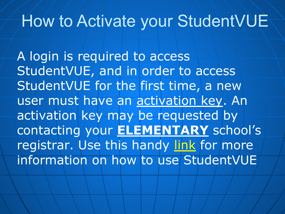#### How to Activate your StudentVUE

A login is required to access StudentVUE, and in order to access StudentVUE for the first time, a new user must have an activation key. An activation key may be requested by contacting your **ELEMENTARY** school's registrar. Use this handy [link](https://docs.google.com/document/d/1oXlcLYAHNlnC88WJUewlqP16pdkJiwdD5Lbus-pqJlw/edit?usp=sharing) for more information on how to use StudentVUE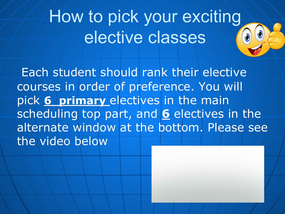# How to pick your exciting elective classes

Each student should rank their elective courses in order of preference. You will pick **6 primary** electives in the main scheduling top part, and **6** electives in the alternate window at the bottom. Please see the video below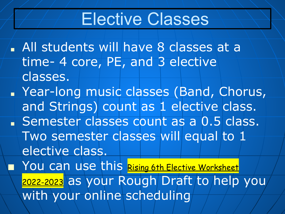## Elective Classes

■ All students will have 8 classes at a time- 4 core, PE, and 3 elective classes.

■ Year-long music classes (Band, Chorus, and Strings) count as 1 elective class. ■ Semester classes count as a 0.5 class. Two semester classes will equal to 1 elective class. ■ You can use this [Rising 6th Elective Worksheet](https://docs.google.com/document/u/0/d/13Jp8A4oiq4VtUFUfkS8AqDm5nBLPohKBEBIlvRoPL6Y/edit)

[2022-2023](https://docs.google.com/document/u/0/d/13Jp8A4oiq4VtUFUfkS8AqDm5nBLPohKBEBIlvRoPL6Y/edit) as your Rough Draft to help you with your online scheduling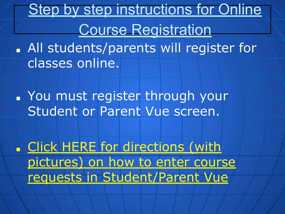**Step by step instructions for Online** Course Registration

■ All students/parents will register for classes online.

■ You must register through your Student or Parent Vue screen.

■ [Click HERE for directions \(with](https://drive.google.com/file/d/1UD--t9wdf-bxGMTY6sNgUn9DGuk9zO8L/view?usp=sharing) [pictures\) on how to enter course](https://drive.google.com/file/d/1UD--t9wdf-bxGMTY6sNgUn9DGuk9zO8L/view?usp=sharing) [requests in Student/Parent Vue](https://drive.google.com/file/d/1UD--t9wdf-bxGMTY6sNgUn9DGuk9zO8L/view?usp=sharing)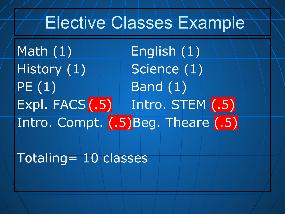### Elective Classes Example

Math  $(1)$   $\blacksquare$  English  $(1)$ History  $(1)$  Science  $(1)$  $PE(1)$  Band  $(1)$ Expl. FACS (.5) Intro. STEM (.5) Intro. Compt. (.5)Beg. Theare (.5)

Totaling= 10 classes